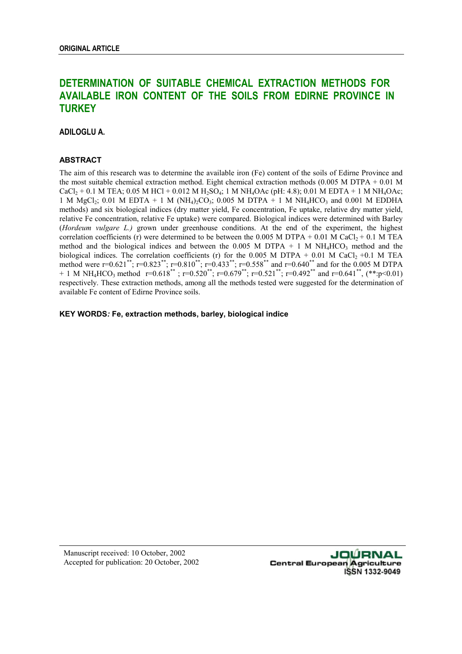# **DETERMINATION OF SUITABLE CHEMICAL EXTRACTION METHODS FOR AVAILABLE IRON CONTENT OF THE SOILS FROM EDIRNE PROVINCE IN TURKEY**

**ADILOGLU A.** 

# **ABSTRACT**

The aim of this research was to determine the available iron (Fe) content of the soils of Edirne Province and the most suitable chemical extraction method. Eight chemical extraction methods (0.005 M DTPA + 0.01 M CaCl<sub>2</sub> + 0.1 M TEA; 0.05 M HCl + 0.012 M H<sub>2</sub>SO<sub>4</sub>; 1 M NH<sub>4</sub>OAc (pH: 4.8); 0.01 M EDTA + 1 M NH<sub>4</sub>OAc; 1 M MgCl<sub>2</sub>; 0.01 M EDTA + 1 M (NH<sub>4</sub>)<sub>2</sub>CO<sub>3</sub>; 0.005 M DTPA + 1 M NH<sub>4</sub>HCO<sub>3</sub> and 0.001 M EDDHA methods) and six biological indices (dry matter yield, Fe concentration, Fe uptake, relative dry matter yield, relative Fe concentration, relative Fe uptake) were compared. Biological indices were determined with Barley (*Hordeum vulgare L.)* grown under greenhouse conditions. At the end of the experiment, the highest correlation coefficients (r) were determined to be between the 0.005 M DTPA + 0.01 M CaCl<sub>2</sub> + 0.1 M TEA method and the biological indices and between the 0.005 M DTPA + 1 M NH<sub>4</sub>HCO<sub>3</sub> method and the biological indices. The correlation coefficients (r) for the 0.005 M DTPA + 0.01 M CaCl<sub>2</sub> +0.1 M TEA method were r=0.621\*\*; r=0.823\*\*; r=0.810\*\*; r=0.433\*\*; r=0.558\*\* and r=0.640\*\* and for the 0.005 M DTPA  $+ 1$  M NH<sub>4</sub>HCO<sub>3</sub> method r=0.618<sup>\*\*</sup>; r=0.520<sup>\*\*</sup>; r=0.679<sup>\*\*</sup>; r=0.521<sup>\*\*</sup>; r=0.492<sup>\*\*</sup> and r=0.641<sup>\*\*</sup>, (\*\*:p<0.01) respectively. These extraction methods, among all the methods tested were suggested for the determination of available Fe content of Edirne Province soils.

**KEY WORDS***:* **Fe, extraction methods, barley, biological indice**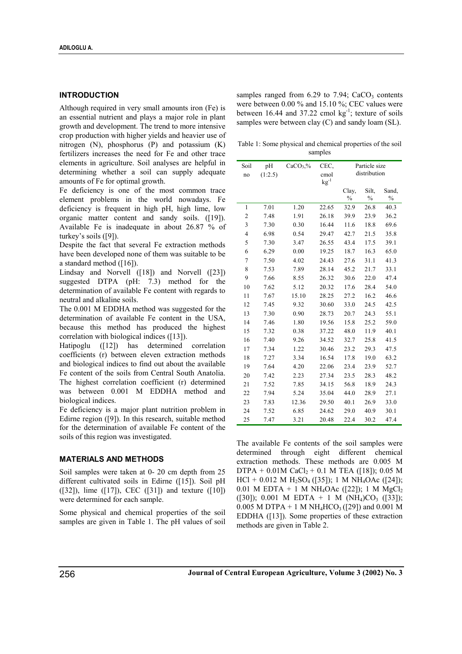# **INTRODUCTION**

Although required in very small amounts iron (Fe) is an essential nutrient and plays a major role in plant growth and development. The trend to more intensive crop production with higher yields and heavier use of nitrogen (N), phosphorus (P) and potassium (K) fertilizers increases the need for Fe and other trace elements in agriculture. Soil analyses are helpful in determining whether a soil can supply adequate amounts of Fe for optimal growth.

Fe deficiency is one of the most common trace element problems in the world nowadays. Fe deficiency is frequent in high pH, high lime, low organic matter content and sandy soils. ([19]). Available Fe is inadequate in about 26.87 % of turkey's soils ([9]).

Despite the fact that several Fe extraction methods have been developed none of them was suitable to be a standard method ([16]).

Lindsay and Norvell ([18]) and Norvell ([23]) suggested DTPA (pH: 7.3) method for the determination of available Fe content with regards to neutral and alkaline soils.

The 0.001 M EDDHA method was suggested for the determination of available Fe content in the USA, because this method has produced the highest correlation with biological indices ([13]).

Hatipoglu ([12]) has determined correlation coefficients (r) between eleven extraction methods and biological indices to find out about the available Fe content of the soils from Central South Anatolia. The highest correlation coefficient (r) determined was between 0.001 M EDDHA method and biological indices.

Fe deficiency is a major plant nutrition problem in Edirne region ([9]). In this research, suitable method for the determination of available Fe content of the soils of this region was investigated.

## **MATERIALS AND METHODS**

Soil samples were taken at 0- 20 cm depth from 25 different cultivated soils in Edirne ([15]). Soil pH  $(32)$ , lime  $(17)$ , CEC  $(31)$  and texture  $(10)$ were determined for each sample.

Some physical and chemical properties of the soil samples are given in Table 1. The pH values of soil samples ranged from  $6.29$  to  $7.94$ ; CaCO<sub>3</sub> contents were between 0.00 % and 15.10 %; CEC values were between 16.44 and 37.22 cmol  $kg^{-1}$ ; texture of soils samples were between clay (C) and sandy loam (SL).

Table 1: Some physical and chemical properties of the soil samples

| Soil<br>no     | pH<br>(1:2.5) | $CaCO3$ % | CEC,<br>cmol<br>$\mathrm{kg}^{\text{-}1}$ | Particle size<br>distribution |                        |                                     |  |
|----------------|---------------|-----------|-------------------------------------------|-------------------------------|------------------------|-------------------------------------|--|
|                |               |           |                                           | Clay,<br>$\frac{0}{0}$        | Silt.<br>$\frac{0}{0}$ | Sand.<br>$\sqrt[0]{\mathstrut}_{0}$ |  |
| 1              | 7.01          | 1.20      | 22.65                                     | 32.9                          | 26.8                   | 40.3                                |  |
| $\overline{c}$ | 7.48          | 1.91      | 26.18                                     | 39.9                          | 23.9                   | 36.2                                |  |
| 3              | 7.30          | 0.30      | 16.44                                     | 11.6                          | 18.8                   | 69.6                                |  |
| $\overline{4}$ | 6.98          | 0.54      | 29.47                                     | 42.7                          | 21.5                   | 35.8                                |  |
| 5              | 7.30          | 3.47      | 26.55                                     | 43.4                          | 17.5                   | 39.1                                |  |
| 6              | 6.29          | 0.00      | 19.25                                     | 18.7                          | 16.3                   | 65.0                                |  |
| $\overline{7}$ | 7.50          | 4.02      | 24.43                                     | 27.6                          | 31.1                   | 41.3                                |  |
| 8              | 7.53          | 7.89      | 28.14                                     | 45.2                          | 21.7                   | 33.1                                |  |
| 9              | 7.66          | 8.55      | 26.32                                     | 30.6                          | 22.0                   | 47.4                                |  |
| 10             | 7.62          | 5.12      | 20.32                                     | 17.6                          | 28.4                   | 54.0                                |  |
| 11             | 7.67          | 15.10     | 28.25                                     | 27.2                          | 16.2                   | 46.6                                |  |
| 12             | 7.45          | 9.32      | 30.60                                     | 33.0                          | 24.5                   | 42.5                                |  |
| 13             | 7.30          | 0.90      | 28.73                                     | 20.7                          | 24.3                   | 55.1                                |  |
| 14             | 7.46          | 1.80      | 19.56                                     | 15.8                          | 25.2                   | 59.0                                |  |
| 15             | 7.32          | 0.38      | 37.22                                     | 48.0                          | 11.9                   | 40.1                                |  |
| 16             | 7.40          | 9.26      | 34.52                                     | 32.7                          | 25.8                   | 41.5                                |  |
| 17             | 7.34          | 1.22      | 30.46                                     | 23.2                          | 29.3                   | 47.5                                |  |
| 18             | 7.27          | 3.34      | 16.54                                     | 17.8                          | 19.0                   | 63.2                                |  |
| 19             | 7.64          | 4.20      | 22.06                                     | 23.4                          | 23.9                   | 52.7                                |  |
| 20             | 7.42          | 2.23      | 27.34                                     | 23.5                          | 28.3                   | 48.2                                |  |
| 21             | 7.52          | 7.85      | 34.15                                     | 56.8                          | 18.9                   | 24.3                                |  |
| 22             | 7.94          | 5.24      | 35.04                                     | 44.0                          | 28.9                   | 27.1                                |  |
| 23             | 7.83          | 12.36     | 29.50                                     | 40.1                          | 26.9                   | 33.0                                |  |
| 24             | 7.52          | 6.85      | 24.62                                     | 29.0                          | 40.9                   | 30.1                                |  |
| 25             | 7.47          | 3.21      | 20.48                                     | 22.4                          | 30.2                   | 47.4                                |  |

The available Fe contents of the soil samples were determined through eight different chemical extraction methods. These methods are 0.005 M DTPA +  $0.01M$  CaCl<sub>2</sub> +  $0.1$  M TEA ([18]); 0.05 M  $HCl + 0.012 M H<sub>2</sub>SO<sub>4</sub> ( [35]); 1 M NH<sub>4</sub>OAc ( [24]);$ 0.01 M EDTA + 1 M NH<sub>4</sub>OAc ([22]); 1 M MgCl<sub>2</sub>  $([30])$ ; 0.001 M EDTA + 1 M (NH<sub>4</sub>)CO<sub>3</sub> ([33]); 0.005 M DTPA + 1 M NH<sub>4</sub>HCO<sub>3</sub> ([29]) and 0.001 M EDDHA ([13]). Some properties of these extraction methods are given in Table 2.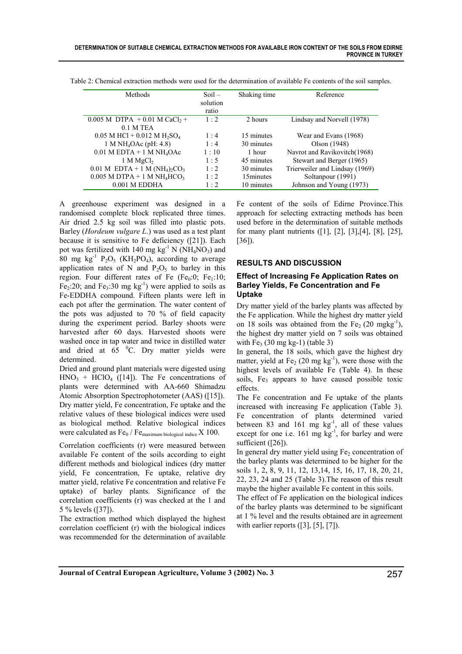| Methods                                                             | $Soil -$<br>solution | Shaking time | Reference                      |
|---------------------------------------------------------------------|----------------------|--------------|--------------------------------|
| $0.005$ M DTPA $+0.01$ M CaCl <sub>2</sub> +                        | ratio<br>1:2         | 2 hours      | Lindsay and Norvell (1978)     |
| $0.1$ M TEA                                                         |                      |              |                                |
| $0.05$ M HCl + 0.012 M H <sub>2</sub> SO <sub>4</sub>               | $1 \cdot 4$          | 15 minutes   | Wear and Evans (1968)          |
| 1 M NH <sub>4</sub> OAc (pH: 4.8)                                   | 1:4                  | 30 minutes   | Olson (1948)                   |
| $0.01$ M EDTA + 1 M NH <sub>4</sub> OAc                             | 1:10                 | 1 hour       | Navrot and Ravikovitch(1968)   |
| 1 M MgCl <sub>2</sub>                                               | $1 \cdot 5$          | 45 minutes   | Stewart and Berger (1965)      |
| $0.01$ M EDTA + 1 M (NH <sub>4</sub> ) <sub>2</sub> CO <sub>3</sub> | $1 \cdot 2$          | 30 minutes   | Trierweiler and Lindsay (1969) |
| $0.005$ M DTPA + 1 M NH <sub>4</sub> HCO <sub>3</sub>               | $1 \cdot 2$          | 15minutes    | Soltanpour (1991)              |
| $0.001$ M EDDHA                                                     | 1:2                  | 10 minutes   | Johnson and Young (1973)       |

Table 2: Chemical extraction methods were used for the determination of available Fe contents of the soil samples.

A greenhouse experiment was designed in a randomised complete block replicated three times. Air dried 2.5 kg soil was filled into plastic pots. Barley (*Hordeum vulgare L*.) was used as a test plant because it is sensitive to Fe deficiency ([21]). Each pot was fertilized with 140 mg  $kg^{-1}$  N (NH<sub>4</sub>NO<sub>3</sub>) and 80 mg kg<sup>-1</sup> P<sub>2</sub>O<sub>5</sub> (KH<sub>2</sub>PO<sub>4</sub>), according to average application rates of N and  $P_2O_5$  to barley in this region. Four different rates of Fe  $(Fe<sub>0</sub>:0; Fe<sub>1</sub>:10;$ Fe<sub>2</sub>:20; and Fe<sub>3</sub>:30 mg  $kg^{-1}$ ) were applied to soils as Fe-EDDHA compound. Fifteen plants were left in each pot after the germination. The water content of the pots was adjusted to 70 % of field capacity during the experiment period. Barley shoots were harvested after 60 days. Harvested shoots were washed once in tap water and twice in distilled water and dried at  $65\degree$ C. Dry matter yields were determined.

Dried and ground plant materials were digested using  $HNO<sub>3</sub> + HClO<sub>4</sub>$  ([14]). The Fe concentrations of plants were determined with AA-660 Shimadzu Atomic Absorption Spectrophotometer (AAS) ([15]). Dry matter yield, Fe concentration, Fe uptake and the relative values of these biological indices were used as biological method. Relative biological indices were calculated as  $Fe_0 / Fe$ <sub>maximum biological indice</sub> X 100.

Correlation coefficients (r) were measured between available Fe content of the soils according to eight different methods and biological indices (dry matter yield, Fe concentration, Fe uptake, relative dry matter yield, relative Fe concentration and relative Fe uptake) of barley plants. Significance of the correlation coefficients (r) was checked at the 1 and 5 % levels ([37]).

The extraction method which displayed the highest correlation coefficient (r) with the biological indices was recommended for the determination of available

Fe content of the soils of Edirne Province.This approach for selecting extracting methods has been used before in the determination of suitable methods for many plant nutrients ([1], [2], [3],[4], [8], [25], [36]).

## **RESULTS AND DISCUSSION**

# **Effect of Increasing Fe Application Rates on Barley Yields, Fe Concentration and Fe Uptake**

Dry matter yield of the barley plants was affected by the Fe application. While the highest dry matter yield on 18 soils was obtained from the  $Fe<sub>2</sub>$  (20 mgkg<sup>-1</sup>), the highest dry matter yield on 7 soils was obtained with  $Fe<sub>3</sub>$  (30 mg kg-1) (table 3)

In general, the 18 soils, which gave the highest dry matter, yield at Fe<sub>2</sub> (20 mg kg<sup>-1</sup>), were those with the highest levels of available Fe (Table 4). In these soils,  $Fe<sub>3</sub>$  appears to have caused possible toxic effects.

The Fe concentration and Fe uptake of the plants increased with increasing Fe application (Table 3). Fe concentration of plants determined varied between 83 and 161 mg  $kg^{-1}$ , all of these values except for one i.e.  $161 \text{ mg kg}^{-1}$ , for barley and were sufficient ([26]).

In general dry matter yield using  $Fe<sub>2</sub>$  concentration of the barley plants was determined to be higher for the soils 1, 2, 8, 9, 11, 12, 13,14, 15, 16, 17, 18, 20, 21, 22, 23, 24 and 25 (Table 3).The reason of this result maybe the higher available Fe content in this soils.

The effect of Fe application on the biological indices of the barley plants was determined to be significant at 1 % level and the results obtained are in agreement with earlier reports  $(3, 1, 5, 7)$ .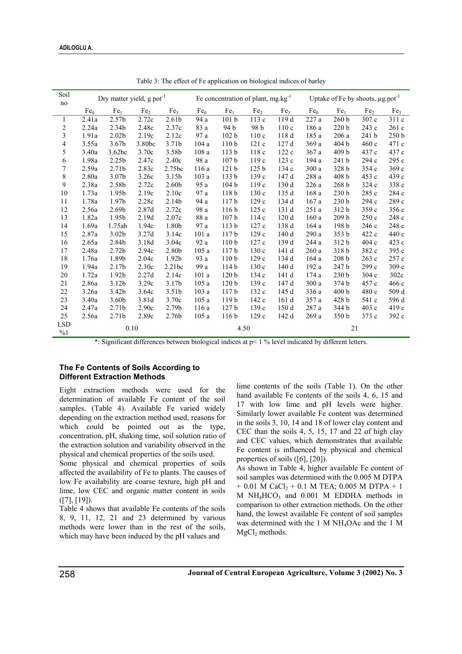| Soil             | Dry matter yield, $g$ pot <sup>-1</sup> |                   |        | Fe concentration of plant, $mg.kg^{-1}$ |                 |                  |                  | Uptake of Fe by shoots, µg.pot <sup>-1</sup> |                 |                  |                 |                  |
|------------------|-----------------------------------------|-------------------|--------|-----------------------------------------|-----------------|------------------|------------------|----------------------------------------------|-----------------|------------------|-----------------|------------------|
| no               | Fe <sub>0</sub>                         | Fe <sub>1</sub>   | Fe,    | Fe <sub>3</sub>                         | Fe <sub>0</sub> | Fe <sub>1</sub>  | Fe <sub>2</sub>  | Fe <sub>3</sub>                              | Fe <sub>0</sub> | Fe <sub>1</sub>  | Fe <sub>2</sub> | Fe <sub>3</sub>  |
| 1                | 2.41a                                   | 2.57b             | 2.72c  | 2.61 <sub>b</sub>                       | 94 a            | 101 <sub>b</sub> | 113 c            | 119 d                                        | 227 a           | 260 <sub>b</sub> | 307 c           | 311 c            |
| 2                | 2.24a                                   | 2.34b             | 2.48c  | 2.37c                                   | 83 a            | 94 b             | 98 b             | 110c                                         | 186 a           | 220 <sub>b</sub> | 243 c           | 261c             |
| 3                | 1.91a                                   | 2.02 <sub>b</sub> | 2.19c  | 2.12c                                   | 97 a            | 102 <sub>b</sub> | 110c             | 118 d                                        | 185 a           | 206 a            | 241 b           | 250 <sub>b</sub> |
| 4                | 3.55a                                   | 3.67b             | 3.80bc | 3.71b                                   | 104a            | 110 <sub>b</sub> | 121c             | 127 d                                        | 369 a           | 404 b            | 460c            | 471 c            |
| 5                | 3.40a                                   | 3.62bc            | 3.70c  | 3.58b                                   | 108a            | 113 <sub>b</sub> | 118c             | 122c                                         | 367 a           | 409 b            | 437 c           | 437 c            |
| 6                | 1.98a                                   | 2.25 <sub>b</sub> | 2.47c  | 2.40c                                   | 98 a            | 107 <sub>b</sub> | 119 c            | 123c                                         | 194 a           | 241 <sub>b</sub> | 294 c           | 295 c            |
| 7                | 2.59a                                   | 2.71 <sub>b</sub> | 2.83c  | 2.75bc                                  | 116a            | 121 <sub>b</sub> | 125 <sub>b</sub> | 134c                                         | 300a            | 328 b            | 354 c           | 369c             |
| 8                | 2.80a                                   | 3.07b             | 3.26c  | 3.15b                                   | 103a            | 133 b            | 139c             | 147 d                                        | 288 a           | 408 b            | 453 c           | 439 с            |
| 9                |                                         | 2.58b             |        | 2.60 <sub>b</sub>                       | 95 a            | 104 <sub>b</sub> | 119c             | 130 d                                        |                 | 268 <sub>b</sub> |                 |                  |
|                  | 2.38a                                   |                   | 2.72c  |                                         |                 |                  |                  |                                              | 226a            |                  | 324c            | 338 c            |
| 10               | 1.73a                                   | 1.95b             | 2.19c  | 2.10c                                   | 97 a            | 118 b            | 130c             | 135 d                                        | 168a            | 230 <sub>b</sub> | 285 c           | 284 c            |
| 11               | 1.78a                                   | 1.97b             | 2.28c  | 2.14b                                   | 94 a            | 117 <sub>b</sub> | 129 c            | 134 d                                        | 167 a           | 230 <sub>b</sub> | 294 c           | 289 c            |
| 12               | 2.56a                                   | 2.69 <sub>b</sub> | 2.87d  | 2.72c                                   | 98 a            | 116 <sub>b</sub> | 125c             | 131 d                                        | 251a            | 312 b            | 359c            | 356 c            |
| 13               | 1.82a                                   | 1.95b             | 2.19d  | 2.07c                                   | 88 a            | 107 <sub>b</sub> | 114c             | 120d                                         | 160a            | 209 <sub>b</sub> | 250c            | 248 c            |
| 14               | 1.69a                                   | 1.75ab            | 1.94c  | 1.80b                                   | 97 a            | 113 <sub>b</sub> | 127c             | 138 d                                        | 164 a           | 198 <sub>b</sub> | 246c            | 248 c            |
| 15               | 2.87a                                   | 3.02 <sub>b</sub> | 3.27d  | 3.14c                                   | 101a            | 117 <sub>b</sub> | 129c             | 140d                                         | 290 a           | 353 <sub>b</sub> | 422 c           | 440 c            |
| 16               | 2.65a                                   | 2.84b             | 3.18d  | 3.04c                                   | 92 a            | 110 <sub>b</sub> | 127c             | 139 d                                        | 244 a           | 312 b            | 404c            | 423 c            |
| 17               | 2.48a                                   | 2.72 <sub>b</sub> | 2.94c  | 2.80b                                   | 105a            | 117 <sub>b</sub> | 130c             | 141 d                                        | 260a            | 318 b            | 382 c           | 395 c            |
| 18               | 1.76a                                   | 1.89b             | 2.04c  | 1.92 <sub>b</sub>                       | 93 a            | 110 <sub>b</sub> | 129c             | 134 d                                        | 164 a           | 208 <sub>b</sub> | 263c            | 257 c            |
| 19               | 1.94a                                   | 2.17 <sub>b</sub> | 2.30c  | 2.21bc                                  | 99 a            | 114 b            | 130 с            | 140 d                                        | 192a            | 247 b            | 299c            | 309c             |
| 20               | 1.72a                                   | 1.92b             | 2.27d  | 2.14c                                   | 101a            | 120 <sub>b</sub> | 134 c            | 141 d                                        | 174 a           | 230 <sub>b</sub> | 304c            | 302c             |
| 21               | 2.86a                                   | 3.12 <sub>b</sub> | 3.29c  | 3.17b                                   | 105a            | 120 <sub>b</sub> | 139c             | 147 d                                        | 300a            | 374 b            | 457 c           | 466c             |
| 22               | 3.26a                                   | 3.42b             | 3.64c  | 3.51 <sub>b</sub>                       | 103a            | 117 <sub>b</sub> | 132 c            | 145 d                                        | 336 a           | 400 b            | 480 c           | 509 d            |
| 23               | 3.40a                                   | 3.60b             | 3.81d  | 3.70c                                   | 105a            | 119 <sub>b</sub> | 142 c            | 161d                                         | 357 a           | 428 b            | 541 c           | 596 d            |
| 24               | 2.47a                                   | 2.71 <sub>b</sub> | 2.90c  | 2.79b                                   | 116a            | 127 <sub>b</sub> | 139c             | 150d                                         | 287 a           | 344 b            | 403c            | 419 c            |
| 25               | 2.56a                                   | 2.71 <sub>b</sub> | 2.89c  | 2.76b                                   | 105a            | 116 <sub>b</sub> | 129c             | 142 d                                        | 269 a           | 350 <sub>b</sub> | 373 c           | 392 c            |
| <b>LSD</b><br>%1 | 0.10                                    |                   |        | 4.50                                    |                 |                  | 21               |                                              |                 |                  |                 |                  |

Table 3: The effect of Fe application on biological indices of barley

\*: Significant differences between biological indices at p< 1 % level indicated by different letters.

## **The Fe Contents of Soils According to Different Extraction Methods**

Eight extraction methods were used for the determination of available Fe content of the soil samples. (Table 4). Available Fe varied widely depending on the extraction method used, reasons for which could be pointed out as the type, concentration, pH, shaking time, soil solution ratio of the extraction solution and variability observed in the physical and chemical properties of the soils used.

Some physical and chemical properties of soils affected the availability of Fe to plants. The causes of low Fe availability are coarse texture, high pH and lime, low CEC and organic matter content in soils ([7], [19]).

Table 4 shows that available Fe contents of the soils 8, 9, 11, 12, 21 and 23 determined by various methods were lower than in the rest of the soils, which may have been induced by the pH values and

lime contents of the soils (Table 1). On the other hand available Fe contents of the soils 4, 6, 15 and 17 with low lime and pH levels were higher. Similarly lower available Fe content was determined in the soils 3, 10, 14 and 18 of lower clay content and CEC than the soils 4, 5, 15, 17 and 22 of high clay and CEC values, which demonstrates that available Fe content is influenced by physical and chemical properties of soils ([6], [20]).

As shown in Table 4, higher available Fe content of soil samples was determined with the 0.005 M DTPA  $+ 0.01$  M CaCl<sub>2</sub> + 0.1 M TEA; 0.005 M DTPA + 1  $M$  NH<sub>4</sub>HCO<sub>3</sub> and 0.001 M EDDHA methods in comparison to other extraction methods. On the other hand, the lowest available Fe content of soil samples was determined with the 1 M NH4OAc and the 1 M  $MgCl<sub>2</sub>$  methods.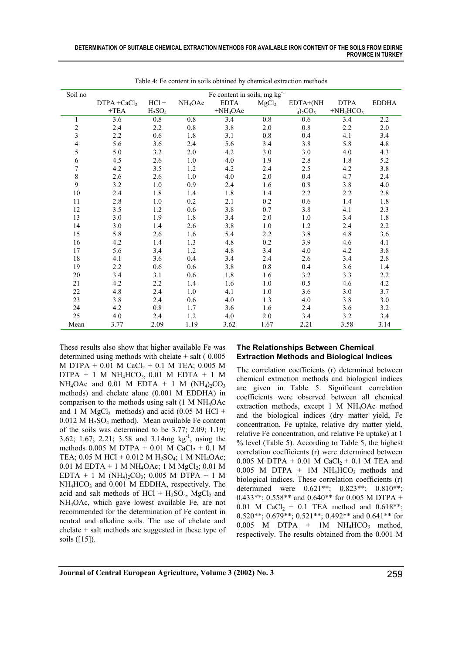| Soil no                 | Fe content in soils, mg kg <sup>-1</sup> |                                |                     |             |                   |             |             |              |
|-------------------------|------------------------------------------|--------------------------------|---------------------|-------------|-------------------|-------------|-------------|--------------|
|                         | $DTPA + CaCl2$                           | $HC1 +$                        | NH <sub>4</sub> OAc | <b>EDTA</b> | MgCl <sub>2</sub> | EDTA+(NH    | <b>DTPA</b> | <b>EDDHA</b> |
|                         | $+TEA$                                   | H <sub>2</sub> SO <sub>4</sub> |                     | $+NH4OAc$   |                   | $_4)_2CO_3$ | $+NH4HCO3$  |              |
| 1                       | 3.6                                      | $0.8\,$                        | 0.8                 | 3.4         | $0.8\,$           | 0.6         | 3.4         | 2.2          |
| $\overline{c}$          | 2.4                                      | 2.2                            | 0.8                 | 3.8         | $2.0\,$           | 0.8         | 2.2         | $2.0\,$      |
| $\overline{\mathbf{3}}$ | 2.2                                      | 0.6                            | 1.8                 | 3.1         | $0.8\,$           | 0.4         | 4.1         | 3.4          |
| 4                       | 5.6                                      | 3.6                            | 2.4                 | 5.6         | 3.4               | 3.8         | 5.8         | 4.8          |
| 5                       | 5.0                                      | $3.2\,$                        | 2.0                 | 4.2         | 3.0               | 3.0         | 4.0         | 4.3          |
| 6                       | 4.5                                      | 2.6                            | 1.0                 | 4.0         | 1.9               | 2.8         | 1.8         | 5.2          |
| $\boldsymbol{7}$        | 4.2                                      | 3.5                            | 1.2                 | 4.2         | 2.4               | 2.5         | 4.2         | 3.8          |
| 8                       | 2.6                                      | 2.6                            | 1.0                 | 4.0         | $2.0\,$           | 0.4         | 4.7         | 2.4          |
| 9                       | 3.2                                      | $1.0\,$                        | 0.9                 | 2.4         | 1.6               | $0.8\,$     | 3.8         | 4.0          |
| 10                      | 2.4                                      | 1.8                            | 1.4                 | 1.8         | 1.4               | 2.2         | 2.2         | 2.8          |
| 11                      | 2.8                                      | 1.0                            | 0.2                 | 2.1         | 0.2               | 0.6         | 1.4         | 1.8          |
| 12                      | 3.5                                      | 1.2                            | 0.6                 | 3.8         | 0.7               | 3.8         | 4.1         | 2.3          |
| 13                      | 3.0                                      | 1.9                            | 1.8                 | 3.4         | $2.0\,$           | $1.0\,$     | 3.4         | $1.8\,$      |
| 14                      | 3.0                                      | 1.4                            | 2.6                 | 3.8         | $1.0\,$           | 1.2         | 2.4         | 2.2          |
| 15                      | 5.8                                      | 2.6                            | 1.6                 | 5.4         | 2.2               | 3.8         | 4.8         | 3.6          |
| 16                      | 4.2                                      | 1.4                            | 1.3                 | 4.8         | 0.2               | 3.9         | 4.6         | 4.1          |
| 17                      | 5.6                                      | 3.4                            | 1.2                 | 4.8         | 3.4               | 4.0         | 4.2         | 3.8          |
| 18                      | 4.1                                      | 3.6                            | 0.4                 | 3.4         | 2.4               | 2.6         | 3.4         | 2.8          |
| 19                      | 2.2                                      | 0.6                            | 0.6                 | 3.8         | $0.8\,$           | 0.4         | 3.6         | 1.4          |
| 20                      | 3.4                                      | 3.1                            | 0.6                 | 1.8         | 1.6               | 3.2         | 3.3         | 2.2          |
| 21                      | 4.2                                      | 2.2                            | 1.4                 | 1.6         | 1.0               | 0.5         | 4.6         | 4.2          |
| 22                      | 4.8                                      | 2.4                            | 1.0                 | 4.1         | 1.0               | 3.6         | 3.0         | 3.7          |
| 23                      | 3.8                                      | 2.4                            | 0.6                 | 4.0         | 1.3               | 4.0         | 3.8         | 3.0          |
| 24                      | 4.2                                      | $0.8\,$                        | 1.7                 | 3.6         | 1.6               | 2.4         | 3.6         | 3.2          |
| 25                      | 4.0                                      | 2.4                            | 1.2                 | 4.0         | $2.0\,$           | 3.4         | 3.2         | 3.4          |
| Mean                    | 3.77                                     | 2.09                           | 1.19                | 3.62        | 1.67              | 2.21        | 3.58        | 3.14         |

Table 4: Fe content in soils obtained by chemical extraction methods

These results also show that higher available Fe was determined using methods with chelate  $+$  salt (  $0.005$ M DTPA + 0.01 M CaCl<sub>2</sub> + 0.1 M TEA; 0.005 M DTPA + 1 M  $NH_4HCO_3$ ; 0.01 M EDTA + 1 M NH<sub>4</sub>OAc and 0.01 M EDTA + 1 M (NH<sub>4</sub>)<sub>2</sub>CO<sub>3</sub> methods) and chelate alone (0.001 M EDDHA) in comparison to the methods using salt (1 M NH4OAc and 1 M  $MgCl<sub>2</sub>$  methods) and acid (0.05 M HCl +  $0.012$  M H<sub>2</sub>SO<sub>4</sub> method). Mean available Fe content of the soils was determined to be 3.77; 2.09; 1.19; 3.62; 1.67; 2.21; 3.58 and 3.14mg  $kg^{-1}$ , using the methods 0.005 M DTPA + 0.01 M CaCl<sub>2</sub> + 0.1 M TEA; 0.05 M HCl + 0.012 M H<sub>2</sub>SO<sub>4</sub>; 1 M NH<sub>4</sub>OAc;  $0.01$  M EDTA + 1 M NH<sub>4</sub>OAc; 1 M MgCl<sub>2</sub>; 0.01 M EDTA + 1 M (NH<sub>4</sub>)<sub>2</sub>CO<sub>3</sub>; 0.005 M DTPA + 1 M NH<sub>4</sub>HCO<sub>3</sub> and 0.001 M EDDHA, respectively. The acid and salt methods of  $HCl + H_2SO_4$ , MgCl<sub>2</sub> and NH4OAc, which gave lowest available Fe, are not recommended for the determination of Fe content in neutral and alkaline soils. The use of chelate and chelate + salt methods are suggested in these type of soils ([15]).

## **The Relationships Between Chemical Extraction Methods and Biological Indices**

The correlation coefficients (r) determined between chemical extraction methods and biological indices are given in Table 5. Significant correlation coefficients were observed between all chemical extraction methods, except 1 M NH4OAc method and the biological indices (dry matter yield, Fe concentration, Fe uptake, relative dry matter yield, relative Fe concentration, and relative Fe uptake) at 1 % level (Table 5). According to Table 5, the highest correlation coefficients (r) were determined between 0.005 M DTPA + 0.01 M CaCl<sub>2</sub> + 0.1 M TEA and  $0.005$  M DTPA + 1M NH<sub>4</sub>HCO<sub>3</sub> methods and biological indices. These correlation coefficients (r) determined were 0.621\*\*; 0.823\*\*; 0.810\*\*; 0.433\*\*; 0.558\*\* and 0.640\*\* for 0.005 M DTPA + 0.01 M CaCl<sub>2</sub> + 0.1 TEA method and 0.618\*\*; 0.520\*\*; 0.679\*\*; 0.521\*\*; 0.492\*\* and 0.641\*\* for  $0.005$  M DTPA + 1M NH<sub>4</sub>HCO<sub>3</sub> method, respectively. The results obtained from the 0.001 M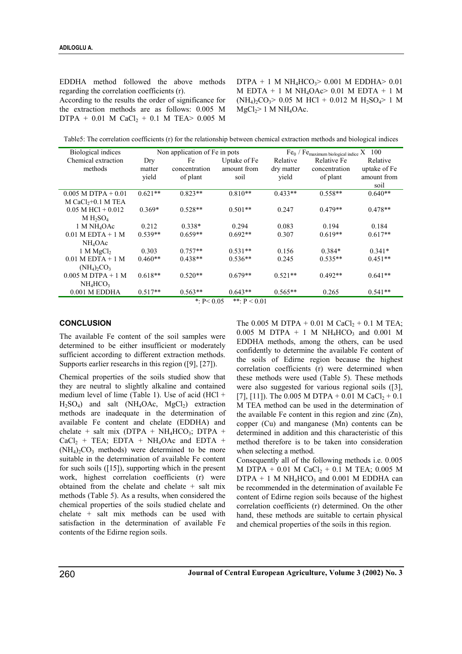EDDHA method followed the above methods regarding the correlation coefficients (r).

According to the results the order of significance for the extraction methods are as follows: 0.005 M DTPA +  $0.01$  M CaCl<sub>2</sub> +  $0.1$  M TEA> 0.005 M  $DTPA + 1$  M  $NH<sub>4</sub>HCO<sub>3</sub> > 0.001$  M EDDHA $> 0.01$  $M$  EDTA + 1 M NH<sub>4</sub>OAc > 0.01 M EDTA + 1 M  $(NH_4)_2CO_2 > 0.05$  M HCl + 0.012 M H<sub>2</sub>SO<sub>4</sub> > 1 M  $MgCl<sub>2</sub>$  1 M NH<sub>4</sub>OAc.

Table5: The correlation coefficients (r) for the relationship between chemical extraction methods and biological indices

| Biological indices                    |           | Non application of Fe in pots |              | $Fe_0$ / $Fe$ <sub>maximum biological indice</sub> X 100 |               |              |  |
|---------------------------------------|-----------|-------------------------------|--------------|----------------------------------------------------------|---------------|--------------|--|
| Chemical extraction                   | Dry       | Fe                            | Uptake of Fe | Relative                                                 | Relative Fe   | Relative     |  |
| methods                               | matter    | concentration                 | amount from  | dry matter                                               | concentration | uptake of Fe |  |
|                                       | yield     | of plant                      | soil         | yield                                                    | of plant      | amount from  |  |
|                                       |           |                               |              |                                                          |               | soil         |  |
| $0.005$ M DTPA + $0.01$               | $0.621**$ | $0.823**$                     | $0.810**$    | $0.433**$                                                | $0.558**$     | $0.640**$    |  |
| $M CaCl2+0.1 M TEA$                   |           |                               |              |                                                          |               |              |  |
| $0.05$ M HCl + $0.012$                | $0.369*$  | $0.528**$                     | $0.501**$    | 0.247                                                    | $0.479**$     | $0.478**$    |  |
| $M H_2SO_4$                           |           |                               |              |                                                          |               |              |  |
| 1 M NH <sub>4</sub> OAc               | 0.212     | $0.338*$                      | 0.294        | 0.083                                                    | 0.194         | 0.184        |  |
| $0.01$ M EDTA + 1 M                   | $0.539**$ | $0.659**$                     | $0.692**$    | 0.307                                                    | $0.619**$     | $0.617**$    |  |
| $NH_4OAc$                             |           |                               |              |                                                          |               |              |  |
| 1 M MgCl <sub>2</sub>                 | 0.303     | $0.757**$                     | $0.531**$    | 0.156                                                    | $0.384*$      | $0.341*$     |  |
| $0.01$ M EDTA + 1 M                   | $0.460**$ | $0.438**$                     | $0.536**$    | 0.245                                                    | $0.535**$     | $0.451**$    |  |
| $(NH_4)$ <sub>2</sub> CO <sub>3</sub> |           |                               |              |                                                          |               |              |  |
| $0.005$ M DTPA + 1 M                  | $0.618**$ | $0.520**$                     | $0.679**$    | $0.521**$                                                | $0.492**$     | $0.641**$    |  |
| $NH_4HCO3$                            |           |                               |              |                                                          |               |              |  |
| $0.001$ M EDDHA                       | $0.517**$ | $0.563**$                     | $0.643**$    | $0.565**$                                                | 0.265         | $0.541**$    |  |

\*:  $P < 0.05$  \*\*:  $P < 0.01$ 

#### **CONCLUSION**

The available Fe content of the soil samples were determined to be either insufficient or moderately sufficient according to different extraction methods. Supports earlier researchs in this region ([9], [27]).

Chemical properties of the soils studied show that they are neutral to slightly alkaline and contained medium level of lime (Table 1). Use of acid (HCl +  $H_2SO_4$ ) and salt (NH<sub>4</sub>OAc, MgCl<sub>2</sub>) extraction methods are inadequate in the determination of available Fe content and chelate (EDDHA) and chelate + salt mix ( $DTPA + NH<sub>4</sub>HCO<sub>3</sub>$ ;  $DTPA +$  $CaCl<sub>2</sub> + TEA$ ; EDTA + NH<sub>4</sub>OAc and EDTA +  $(NH_4)_2CO_3$  methods) were determined to be more suitable in the determination of available Fe content for such soils ([15]), supporting which in the present work, highest correlation coefficients (r) were obtained from the chelate and chelate + salt mix methods (Table 5). As a results, when considered the chemical properties of the soils studied chelate and chelate + salt mix methods can be used with satisfaction in the determination of available Fe contents of the Edirne region soils.

The 0.005 M DTPA + 0.01 M CaCl<sub>2</sub> + 0.1 M TEA; 0.005 M DTPA + 1 M NH<sub>4</sub>HCO<sub>3</sub> and 0.001 M EDDHA methods, among the others, can be used confidently to determine the available Fe content of the soils of Edirne region because the highest correlation coefficients (r) were determined when these methods were used (Table 5). These methods were also suggested for various regional soils ([3], [7], [11]). The 0.005 M DTPA + 0.01 M CaCl<sub>2</sub> + 0.1 M TEA method can be used in the determination of the available Fe content in this region and zinc (Zn), copper (Cu) and manganese (Mn) contents can be determined in addition and this characteristic of this method therefore is to be taken into consideration when selecting a method.

Consequently all of the following methods i.e. 0.005 M DTPA +  $0.01$  M CaCl<sub>2</sub> +  $0.1$  M TEA; 0.005 M  $DTPA + 1 M NH<sub>4</sub>HCO<sub>3</sub>$  and 0.001 M EDDHA can be recommended in the determination of available Fe content of Edirne region soils because of the highest correlation coefficients (r) determined. On the other hand, these methods are suitable to certain physical and chemical properties of the soils in this region.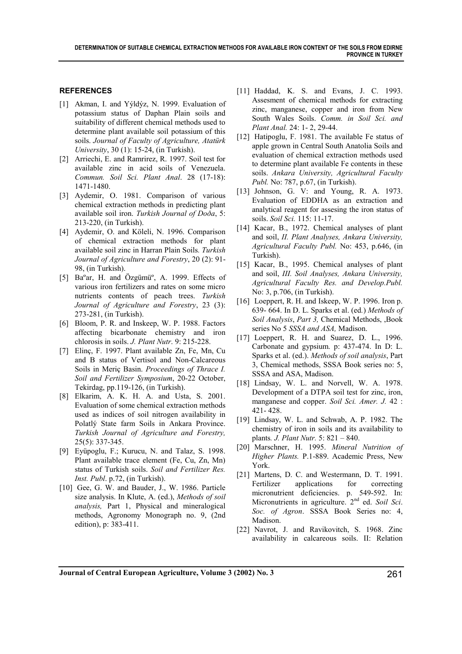# **REFERENCES**

- [1] Akman, I. and Yýldýz, N. 1999. Evaluation of potassium status of Daphan Plain soils and suitability of different chemical methods used to determine plant available soil potassium of this soils. *Journal of Faculty of Agriculture, Atatürk University*, 30 (1): 15-24, (in Turkish).
- [2] Arriechi, E. and Ramrirez, R. 1997. Soil test for available zinc in acid soils of Venezuela. *Commun. Soil Sci. Plant Anal*. 28 (17-18): 1471-1480.
- [3] Aydemir, O. 1981. Comparison of various chemical extraction methods in predicting plant available soil iron. *Turkish Journal of Doða*, 5: 213-220, (in Turkish).
- [4] Aydemir, O. and Köleli, N. 1996. Comparison of chemical extraction methods for plant available soil zinc in Harran Plain Soils*. Turkish Journal of Agriculture and Forestry*, 20 (2): 91- 98, (in Turkish).
- [5] Baºar, H. and Özgümüº, A. 1999. Effects of various iron fertilizers and rates on some micro nutrients contents of peach trees. *Turkish Journal of Agriculture and Forestry*, 23 (3): 273-281, (in Turkish).
- [6] Bloom, P. R. and Inskeep, W. P. 1988. Factors affecting bicarbonate chemistry and iron chlorosis in soils. *J. Plant Nutr*. 9: 215-228.
- [7] Elinç, F. 1997. Plant available Zn, Fe, Mn, Cu and B status of Vertisol and Non-Calcareous Soils in Meriç Basin. *Proceedings of Thrace I. Soil and Fertilizer Symposium*, 20-22 October, Tekirdag, pp.119-126, (in Turkish).
- [8] Elkarim, A. K. H. A. and Usta, S. 2001. Evaluation of some chemical extraction methods used as indices of soil nitrogen availability in Polatlý State farm Soils in Ankara Province. *Turkish Journal of Agriculture and Forestry,* 25(5): 337-345.
- [9] Eyüpoglu, F.; Kurucu, N. and Talaz, S. 1998. Plant available trace element (Fe, Cu, Zn, Mn) status of Turkish soils. *Soil and Fertilizer Res. Inst. Publ*. p.72, (in Turkish).
- [10] Gee, G. W. and Bauder, J., W. 1986. Particle size analysis. In Klute, A. (ed.), *Methods of soil analysis,* Part 1, Physical and mineralogical methods, Agronomy Monograph no. 9, (2nd edition), p: 383-411.
- [11] Haddad, K. S. and Evans, J. C. 1993. Assesment of chemical methods for extracting zinc, manganese, copper and iron from New South Wales Soils. *Comm. in Soil Sci. and Plant Anal.* 24: 1- 2, 29-44.
- [12] Hatipoglu, F. 1981. The available Fe status of apple grown in Central South Anatolia Soils and evaluation of chemical extraction methods used to determine plant available Fe contents in these soils. *Ankara University, Agricultural Faculty Publ.* No: 787, p.67, (in Turkish).
- [13] Johnson, G. V: and Young, R. A. 1973. Evaluation of EDDHA as an extraction and analytical reagent for assesing the iron status of soils. *Soil Sci.* 115: 11-17.
- [14] Kacar, B., 1972. Chemical analyses of plant and soil, *II. Plant Analyses, Ankara University, Agricultural Faculty Publ.* No: 453, p.646, (in Turkish).
- [15] Kacar, B., 1995. Chemical analyses of plant and soil, *III. Soil Analyses, Ankara University, Agricultural Faculty Res. and Develop.Publ.* No: 3, p.706, (in Turkish).
- [16] Loeppert, R. H. and Iskeep, W. P. 1996. Iron p. 639- 664. In D. L. Sparks et al. (ed*.*) *Methods of Soil Analysis*, *Part 3,* Chemical Methods, ,Book series No 5 *SSSA and ASA,* Madison.
- [17] Loeppert, R. H. and Suarez, D. L., 1996. Carbonate and gypsium. p: 437-474. In D: L. Sparks et al. (ed.). *Methods of soil analysis*, Part 3, Chemical methods, SSSA Book series no: 5, SSSA and ASA, Madison.
- [18] Lindsay, W. L. and Norvell, W. A. 1978. Development of a DTPA soil test for zinc, iron, manganese and copper. *Soil Sci. Amer. J.* 42 : 421- 428.
- [19] Lindsay, W. L. and Schwab, A. P. 1982. The chemistry of iron in soils and its availability to plants*. J. Plant Nutr.* 5: 821 – 840.
- [20] Marschner, H. 1995. *Mineral Nutrition of Higher Plants.* P.1-889. Academic Press, New York.
- [21] Martens, D. C. and Westermann, D. T. 1991. Fertilizer applications for correcting micronutrient deficiencies. p. 549-592. In: Micronutrients in agriculture. 2nd ed. *Soil Sci*. *Soc. of Agron*. SSSA Book Series no: 4, Madison.
- [22] Navrot, J. and Ravikovitch, S. 1968. Zinc availability in calcareous soils. II: Relation

**Journal of Central European Agriculture, Volume 3 (2002) No. 3** 261